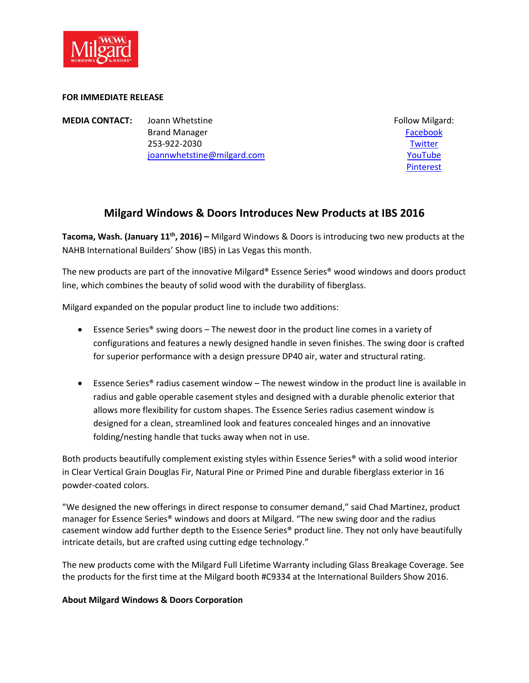

## **FOR IMMEDIATE RELEASE**

**MEDIA CONTACT:** Joann Whetstine **Follow Milgard:** Follow Milgard: Brand Manager **[Facebook](http://www.facebook.com/Milgard)** 253-922-2030 [Twitter](http://twitter.com/milgard) [joannwhetstine@milgard.com](mailto:joannwhetstine@milgard.com) VouTube

[Pinterest](http://www.pinterest.com/milgard)

## **Milgard Windows & Doors Introduces New Products at IBS 2016**

**Tacoma, Wash. (January 11th, 2016) –** Milgard Windows & Doors is introducing two new products at the NAHB International Builders' Show (IBS) in Las Vegas this month.

The new products are part of the innovative Milgard® Essence Series® wood windows and doors product line, which combines the beauty of solid wood with the durability of fiberglass.

Milgard expanded on the popular product line to include two additions:

- Essence Series<sup>®</sup> swing doors The newest door in the product line comes in a variety of configurations and features a newly designed handle in seven finishes. The swing door is crafted for superior performance with a design pressure DP40 air, water and structural rating.
- Essence Series® radius casement window The newest window in the product line is available in radius and gable operable casement styles and designed with a durable phenolic exterior that allows more flexibility for custom shapes. The Essence Series radius casement window is designed for a clean, streamlined look and features concealed hinges and an innovative folding/nesting handle that tucks away when not in use.

Both products beautifully complement existing styles within Essence Series® with a solid wood interior in Clear Vertical Grain Douglas Fir, Natural Pine or Primed Pine and durable fiberglass exterior in 16 powder-coated colors.

"We designed the new offerings in direct response to consumer demand," said Chad Martinez, product manager for Essence Series® windows and doors at Milgard. "The new swing door and the radius casement window add further depth to the Essence Series® product line. They not only have beautifully intricate details, but are crafted using cutting edge technology."

The new products come with the Milgard Full Lifetime Warranty including Glass Breakage Coverage. See the products for the first time at the Milgard booth #C9334 at the International Builders Show 2016.

## **About Milgard Windows & Doors Corporation**